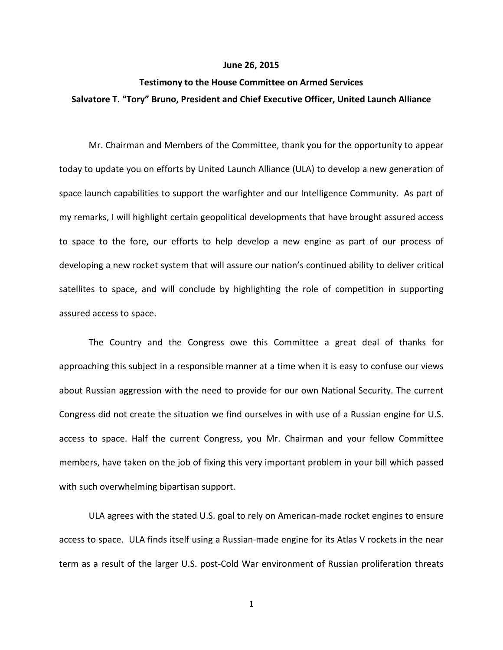## **June 26, 2015**

## **Testimony to the House Committee on Armed Services Salvatore T. "Tory" Bruno, President and Chief Executive Officer, United Launch Alliance**

Mr. Chairman and Members of the Committee, thank you for the opportunity to appear today to update you on efforts by United Launch Alliance (ULA) to develop a new generation of space launch capabilities to support the warfighter and our Intelligence Community. As part of my remarks, I will highlight certain geopolitical developments that have brought assured access to space to the fore, our efforts to help develop a new engine as part of our process of developing a new rocket system that will assure our nation's continued ability to deliver critical satellites to space, and will conclude by highlighting the role of competition in supporting assured access to space.

The Country and the Congress owe this Committee a great deal of thanks for approaching this subject in a responsible manner at a time when it is easy to confuse our views about Russian aggression with the need to provide for our own National Security. The current Congress did not create the situation we find ourselves in with use of a Russian engine for U.S. access to space. Half the current Congress, you Mr. Chairman and your fellow Committee members, have taken on the job of fixing this very important problem in your bill which passed with such overwhelming bipartisan support.

ULA agrees with the stated U.S. goal to rely on American-made rocket engines to ensure access to space. ULA finds itself using a Russian-made engine for its Atlas V rockets in the near term as a result of the larger U.S. post-Cold War environment of Russian proliferation threats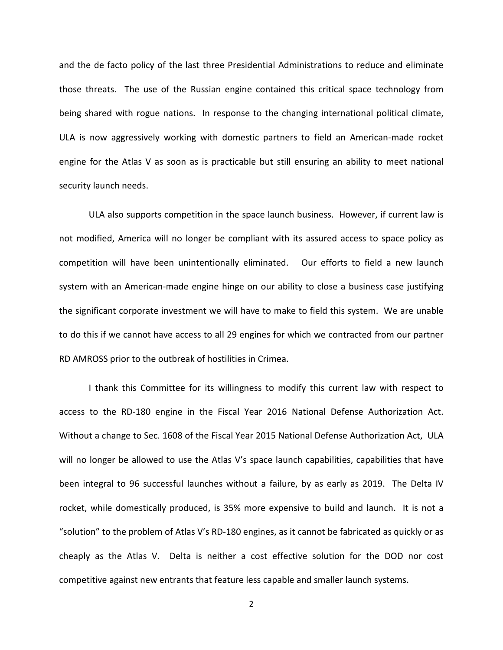and the de facto policy of the last three Presidential Administrations to reduce and eliminate those threats. The use of the Russian engine contained this critical space technology from being shared with rogue nations. In response to the changing international political climate, ULA is now aggressively working with domestic partners to field an American-made rocket engine for the Atlas V as soon as is practicable but still ensuring an ability to meet national security launch needs.

ULA also supports competition in the space launch business. However, if current law is not modified, America will no longer be compliant with its assured access to space policy as competition will have been unintentionally eliminated. Our efforts to field a new launch system with an American-made engine hinge on our ability to close a business case justifying the significant corporate investment we will have to make to field this system. We are unable to do this if we cannot have access to all 29 engines for which we contracted from our partner RD AMROSS prior to the outbreak of hostilities in Crimea.

I thank this Committee for its willingness to modify this current law with respect to access to the RD-180 engine in the Fiscal Year 2016 National Defense Authorization Act. Without a change to Sec. 1608 of the Fiscal Year 2015 National Defense Authorization Act, ULA will no longer be allowed to use the Atlas V's space launch capabilities, capabilities that have been integral to 96 successful launches without a failure, by as early as 2019. The Delta IV rocket, while domestically produced, is 35% more expensive to build and launch. It is not a "solution" to the problem of Atlas V's RD-180 engines, as it cannot be fabricated as quickly or as cheaply as the Atlas V. Delta is neither a cost effective solution for the DOD nor cost competitive against new entrants that feature less capable and smaller launch systems.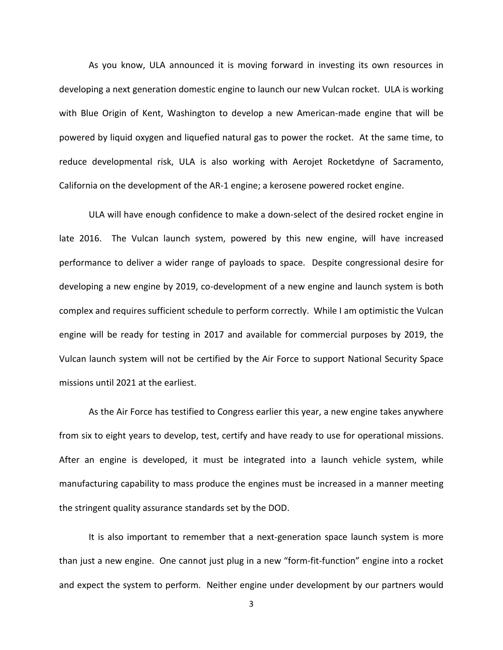As you know, ULA announced it is moving forward in investing its own resources in developing a next generation domestic engine to launch our new Vulcan rocket. ULA is working with Blue Origin of Kent, Washington to develop a new American-made engine that will be powered by liquid oxygen and liquefied natural gas to power the rocket. At the same time, to reduce developmental risk, ULA is also working with Aerojet Rocketdyne of Sacramento, California on the development of the AR-1 engine; a kerosene powered rocket engine.

ULA will have enough confidence to make a down-select of the desired rocket engine in late 2016. The Vulcan launch system, powered by this new engine, will have increased performance to deliver a wider range of payloads to space. Despite congressional desire for developing a new engine by 2019, co-development of a new engine and launch system is both complex and requires sufficient schedule to perform correctly. While I am optimistic the Vulcan engine will be ready for testing in 2017 and available for commercial purposes by 2019, the Vulcan launch system will not be certified by the Air Force to support National Security Space missions until 2021 at the earliest.

As the Air Force has testified to Congress earlier this year, a new engine takes anywhere from six to eight years to develop, test, certify and have ready to use for operational missions. After an engine is developed, it must be integrated into a launch vehicle system, while manufacturing capability to mass produce the engines must be increased in a manner meeting the stringent quality assurance standards set by the DOD.

It is also important to remember that a next-generation space launch system is more than just a new engine. One cannot just plug in a new "form-fit-function" engine into a rocket and expect the system to perform. Neither engine under development by our partners would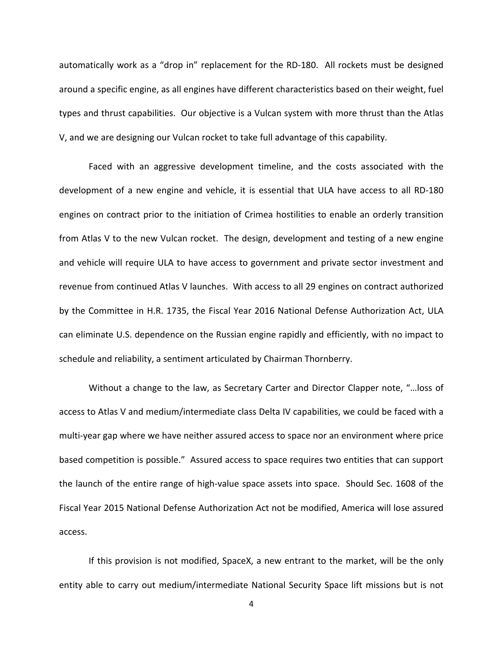automatically work as a "drop in" replacement for the RD-180. All rockets must be designed around a specific engine, as all engines have different characteristics based on their weight, fuel types and thrust capabilities. Our objective is a Vulcan system with more thrust than the Atlas V, and we are designing our Vulcan rocket to take full advantage of this capability.

Faced with an aggressive development timeline, and the costs associated with the development of a new engine and vehicle, it is essential that ULA have access to all RD-180 engines on contract prior to the initiation of Crimea hostilities to enable an orderly transition from Atlas V to the new Vulcan rocket. The design, development and testing of a new engine and vehicle will require ULA to have access to government and private sector investment and revenue from continued Atlas V launches. With access to all 29 engines on contract authorized by the Committee in H.R. 1735, the Fiscal Year 2016 National Defense Authorization Act, ULA can eliminate U.S. dependence on the Russian engine rapidly and efficiently, with no impact to schedule and reliability, a sentiment articulated by Chairman Thornberry.

Without a change to the law, as Secretary Carter and Director Clapper note, "…loss of access to Atlas V and medium/intermediate class Delta IV capabilities, we could be faced with a multi-year gap where we have neither assured access to space nor an environment where price based competition is possible." Assured access to space requires two entities that can support the launch of the entire range of high-value space assets into space. Should Sec. 1608 of the Fiscal Year 2015 National Defense Authorization Act not be modified, America will lose assured access.

If this provision is not modified, SpaceX, a new entrant to the market, will be the only entity able to carry out medium/intermediate National Security Space lift missions but is not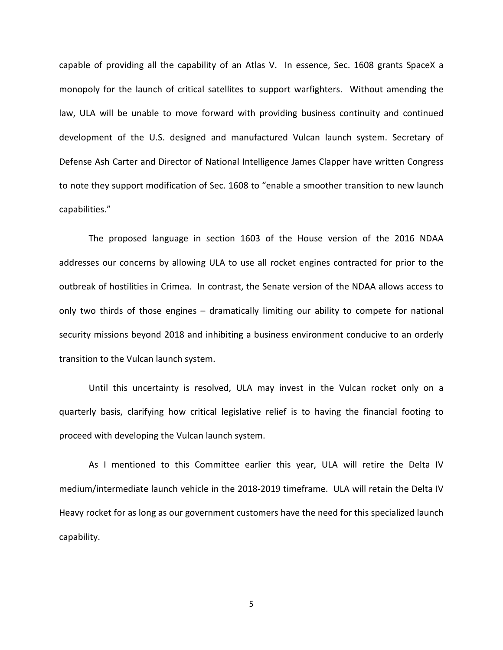capable of providing all the capability of an Atlas V. In essence, Sec. 1608 grants SpaceX a monopoly for the launch of critical satellites to support warfighters. Without amending the law, ULA will be unable to move forward with providing business continuity and continued development of the U.S. designed and manufactured Vulcan launch system. Secretary of Defense Ash Carter and Director of National Intelligence James Clapper have written Congress to note they support modification of Sec. 1608 to "enable a smoother transition to new launch capabilities."

The proposed language in section 1603 of the House version of the 2016 NDAA addresses our concerns by allowing ULA to use all rocket engines contracted for prior to the outbreak of hostilities in Crimea. In contrast, the Senate version of the NDAA allows access to only two thirds of those engines – dramatically limiting our ability to compete for national security missions beyond 2018 and inhibiting a business environment conducive to an orderly transition to the Vulcan launch system.

Until this uncertainty is resolved, ULA may invest in the Vulcan rocket only on a quarterly basis, clarifying how critical legislative relief is to having the financial footing to proceed with developing the Vulcan launch system.

As I mentioned to this Committee earlier this year, ULA will retire the Delta IV medium/intermediate launch vehicle in the 2018-2019 timeframe. ULA will retain the Delta IV Heavy rocket for as long as our government customers have the need for this specialized launch capability.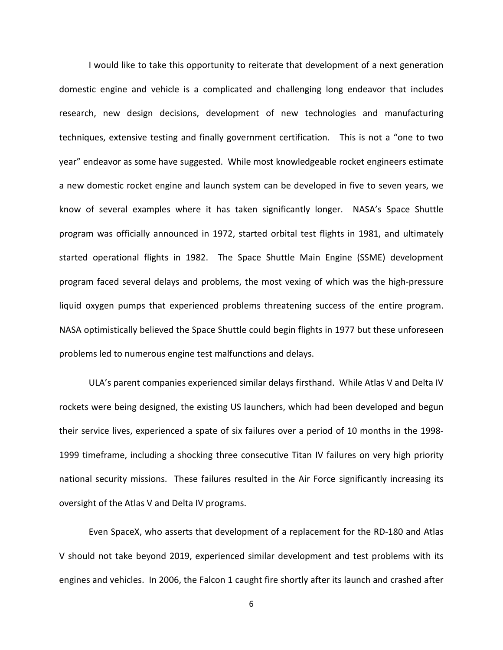I would like to take this opportunity to reiterate that development of a next generation domestic engine and vehicle is a complicated and challenging long endeavor that includes research, new design decisions, development of new technologies and manufacturing techniques, extensive testing and finally government certification. This is not a "one to two year" endeavor as some have suggested. While most knowledgeable rocket engineers estimate a new domestic rocket engine and launch system can be developed in five to seven years, we know of several examples where it has taken significantly longer. NASA's Space Shuttle program was officially announced in 1972, started orbital test flights in 1981, and ultimately started operational flights in 1982. The Space Shuttle Main Engine (SSME) development program faced several delays and problems, the most vexing of which was the high-pressure liquid oxygen pumps that experienced problems threatening success of the entire program. NASA optimistically believed the Space Shuttle could begin flights in 1977 but these unforeseen problems led to numerous engine test malfunctions and delays.

ULA's parent companies experienced similar delays firsthand. While Atlas V and Delta IV rockets were being designed, the existing US launchers, which had been developed and begun their service lives, experienced a spate of six failures over a period of 10 months in the 1998- 1999 timeframe, including a shocking three consecutive Titan IV failures on very high priority national security missions. These failures resulted in the Air Force significantly increasing its oversight of the Atlas V and Delta IV programs.

Even SpaceX, who asserts that development of a replacement for the RD-180 and Atlas V should not take beyond 2019, experienced similar development and test problems with its engines and vehicles. In 2006, the Falcon 1 caught fire shortly after its launch and crashed after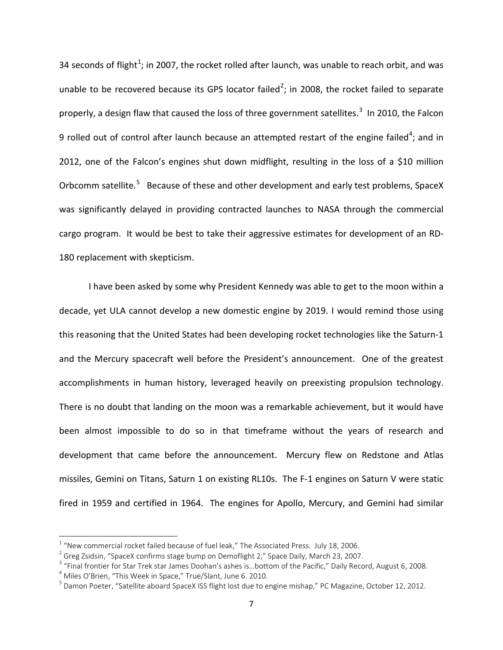34 seconds of flight<sup>[1](#page-6-0)</sup>; in 2007, the rocket rolled after launch, was unable to reach orbit, and was unable to be recovered because its GPS locator failed<sup>[2](#page-6-1)</sup>; in 2008, the rocket failed to separate properly, a design flaw that caused the loss of three government satellites.<sup>[3](#page-6-2)</sup> In 2010, the Falcon 9 rolled out of control after launch because an attempted restart of the engine failed<sup>[4](#page-6-3)</sup>; and in 2012, one of the Falcon's engines shut down midflight, resulting in the loss of a \$10 million Orbcomm satellite.<sup>[5](#page-6-4)</sup> Because of these and other development and early test problems, SpaceX was significantly delayed in providing contracted launches to NASA through the commercial cargo program. It would be best to take their aggressive estimates for development of an RD-180 replacement with skepticism.

I have been asked by some why President Kennedy was able to get to the moon within a decade, yet ULA cannot develop a new domestic engine by 2019. I would remind those using this reasoning that the United States had been developing rocket technologies like the Saturn-1 and the Mercury spacecraft well before the President's announcement. One of the greatest accomplishments in human history, leveraged heavily on preexisting propulsion technology. There is no doubt that landing on the moon was a remarkable achievement, but it would have been almost impossible to do so in that timeframe without the years of research and development that came before the announcement. Mercury flew on Redstone and Atlas missiles, Gemini on Titans, Saturn 1 on existing RL10s. The F-1 engines on Saturn V were static fired in 1959 and certified in 1964. The engines for Apollo, Mercury, and Gemini had similar

<span id="page-6-0"></span><sup>&</sup>lt;sup>1</sup> "New commercial rocket failed because of fuel leak," The Associated Press. July 18, 2006.<br><sup>2</sup> Greg Zsidsin, "SpaceX confirms stage bump on Demoflight 2," Space Daily, March 23, 2007.

<span id="page-6-1"></span>

<span id="page-6-2"></span> $3$  "Final frontier for Star Trek star James Doohan's ashes is...bottom of the Pacific," Daily Record, August 6, 2008.

<span id="page-6-4"></span><span id="page-6-3"></span><sup>&</sup>lt;sup>4</sup> Miles O'Brien, "This Week in Space," True/Slant, June 6. 2010.<br><sup>5</sup> Damon Poeter, "Satellite aboard SpaceX ISS flight lost due to engine mishap," PC Magazine, October 12, 2012.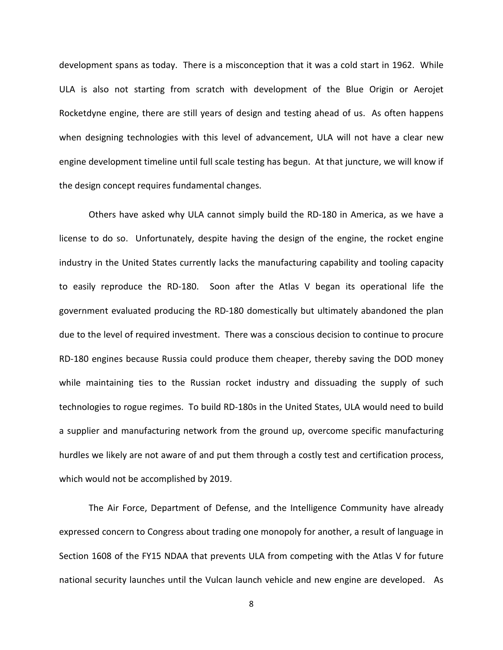development spans as today. There is a misconception that it was a cold start in 1962. While ULA is also not starting from scratch with development of the Blue Origin or Aerojet Rocketdyne engine, there are still years of design and testing ahead of us. As often happens when designing technologies with this level of advancement, ULA will not have a clear new engine development timeline until full scale testing has begun. At that juncture, we will know if the design concept requires fundamental changes.

Others have asked why ULA cannot simply build the RD-180 in America, as we have a license to do so. Unfortunately, despite having the design of the engine, the rocket engine industry in the United States currently lacks the manufacturing capability and tooling capacity to easily reproduce the RD-180. Soon after the Atlas V began its operational life the government evaluated producing the RD-180 domestically but ultimately abandoned the plan due to the level of required investment. There was a conscious decision to continue to procure RD-180 engines because Russia could produce them cheaper, thereby saving the DOD money while maintaining ties to the Russian rocket industry and dissuading the supply of such technologies to rogue regimes. To build RD-180s in the United States, ULA would need to build a supplier and manufacturing network from the ground up, overcome specific manufacturing hurdles we likely are not aware of and put them through a costly test and certification process, which would not be accomplished by 2019.

The Air Force, Department of Defense, and the Intelligence Community have already expressed concern to Congress about trading one monopoly for another, a result of language in Section 1608 of the FY15 NDAA that prevents ULA from competing with the Atlas V for future national security launches until the Vulcan launch vehicle and new engine are developed. As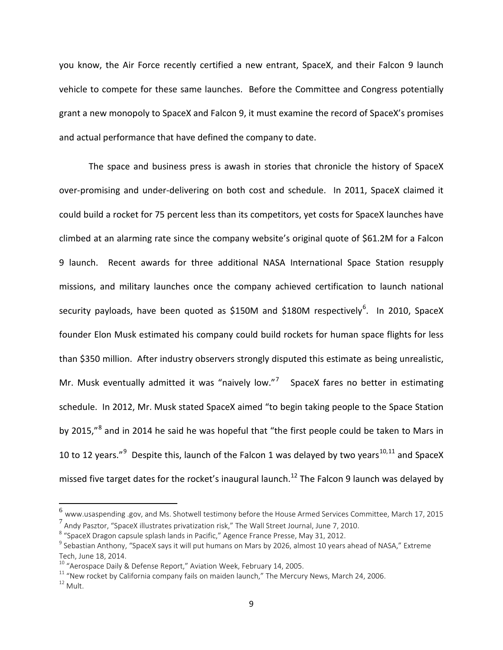you know, the Air Force recently certified a new entrant, SpaceX, and their Falcon 9 launch vehicle to compete for these same launches. Before the Committee and Congress potentially grant a new monopoly to SpaceX and Falcon 9, it must examine the record of SpaceX's promises and actual performance that have defined the company to date.

The space and business press is awash in stories that chronicle the history of SpaceX over-promising and under-delivering on both cost and schedule. In 2011, SpaceX claimed it could build a rocket for 75 percent less than its competitors, yet costs for SpaceX launches have climbed at an alarming rate since the company website's original quote of \$61.2M for a Falcon 9 launch. Recent awards for three additional NASA International Space Station resupply missions, and military launches once the company achieved certification to launch national security payloads, have been quoted as \$150M and \$180M respectively<sup>[6](#page-8-0)</sup>. In 2010, SpaceX founder Elon Musk estimated his company could build rockets for human space flights for less than \$350 million. After industry observers strongly disputed this estimate as being unrealistic, Mr. Musk eventually admitted it was "naively low."<sup>[7](#page-8-1)</sup> SpaceX fares no better in estimating schedule. In 2012, Mr. Musk stated SpaceX aimed "to begin taking people to the Space Station by 2015,"<sup>[8](#page-8-2)</sup> and in 2014 he said he was hopeful that "the first people could be taken to Mars in 10 to 12 years."<sup>[9](#page-8-3)</sup> Despite this, launch of the Falcon 1 was delayed by two years<sup>[10](#page-8-4),[11](#page-8-5)</sup> and SpaceX missed five target dates for the rocket's inaugural launch.<sup>[12](#page-8-6)</sup> The Falcon 9 launch was delayed by

<span id="page-8-1"></span><span id="page-8-0"></span><sup>6</sup> www.usaspending .gov, and Ms. Shotwell testimony before the House Armed Services Committee, March 17, 2015 <sup>7</sup> Andy Pasztor, "SpaceX illustrates privatization risk," The Wall Street Journal, June 7, 2010.<br><sup>8</sup> "SpaceX Dragon capsule splash lands in Pacific," Agence France Presse, May 31, 2012.

<span id="page-8-2"></span>

<span id="page-8-3"></span><sup>&</sup>lt;sup>9</sup> Sebastian Anthony, "SpaceX says it will put humans on Mars by 2026, almost 10 years ahead of NASA," Extreme Tech, June 18, 2014.<br><sup>10</sup> "Aerospace Daily & Defense Report," Aviation Week, February 14, 2005.

<span id="page-8-6"></span><span id="page-8-5"></span><span id="page-8-4"></span><sup>&</sup>lt;sup>11</sup> "New rocket by California company fails on maiden launch," The Mercury News, March 24, 2006. <sup>12</sup> Mult.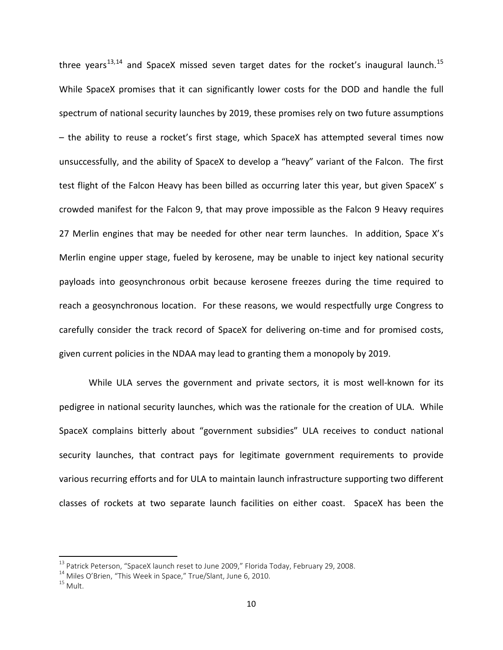three years<sup>[13,](#page-9-0)[14](#page-9-1)</sup> and SpaceX missed seven target dates for the rocket's inaugural launch.<sup>[15](#page-9-2)</sup> While SpaceX promises that it can significantly lower costs for the DOD and handle the full spectrum of national security launches by 2019, these promises rely on two future assumptions – the ability to reuse a rocket's first stage, which SpaceX has attempted several times now unsuccessfully, and the ability of SpaceX to develop a "heavy" variant of the Falcon. The first test flight of the Falcon Heavy has been billed as occurring later this year, but given SpaceX' s crowded manifest for the Falcon 9, that may prove impossible as the Falcon 9 Heavy requires 27 Merlin engines that may be needed for other near term launches. In addition, Space X's Merlin engine upper stage, fueled by kerosene, may be unable to inject key national security payloads into geosynchronous orbit because kerosene freezes during the time required to reach a geosynchronous location. For these reasons, we would respectfully urge Congress to carefully consider the track record of SpaceX for delivering on-time and for promised costs, given current policies in the NDAA may lead to granting them a monopoly by 2019.

While ULA serves the government and private sectors, it is most well-known for its pedigree in national security launches, which was the rationale for the creation of ULA. While SpaceX complains bitterly about "government subsidies" ULA receives to conduct national security launches, that contract pays for legitimate government requirements to provide various recurring efforts and for ULA to maintain launch infrastructure supporting two different classes of rockets at two separate launch facilities on either coast. SpaceX has been the

<span id="page-9-0"></span><sup>&</sup>lt;sup>13</sup> Patrick Peterson, "SpaceX launch reset to June 2009," Florida Today, February 29, 2008.<br><sup>14</sup> Miles O'Brien, "This Week in Space," True/Slant, June 6, 2010.<br><sup>15</sup> Mult

<span id="page-9-1"></span>

<span id="page-9-2"></span>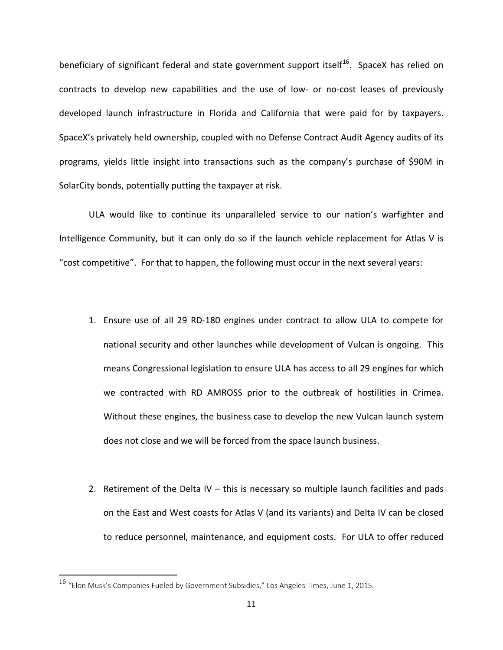beneficiary of significant federal and state government support itself<sup>[16](#page-10-0)</sup>. SpaceX has relied on contracts to develop new capabilities and the use of low- or no-cost leases of previously developed launch infrastructure in Florida and California that were paid for by taxpayers. SpaceX's privately held ownership, coupled with no Defense Contract Audit Agency audits of its programs, yields little insight into transactions such as the company's purchase of \$90M in SolarCity bonds, potentially putting the taxpayer at risk.

ULA would like to continue its unparalleled service to our nation's warfighter and Intelligence Community, but it can only do so if the launch vehicle replacement for Atlas V is "cost competitive". For that to happen, the following must occur in the next several years:

- 1. Ensure use of all 29 RD-180 engines under contract to allow ULA to compete for national security and other launches while development of Vulcan is ongoing. This means Congressional legislation to ensure ULA has access to all 29 engines for which we contracted with RD AMROSS prior to the outbreak of hostilities in Crimea. Without these engines, the business case to develop the new Vulcan launch system does not close and we will be forced from the space launch business.
- 2. Retirement of the Delta IV this is necessary so multiple launch facilities and pads on the East and West coasts for Atlas V (and its variants) and Delta IV can be closed to reduce personnel, maintenance, and equipment costs. For ULA to offer reduced

<span id="page-10-0"></span><sup>16</sup> "Elon Musk's Companies Fueled by Government Subsidies," Los Angeles Times, June 1, 2015.